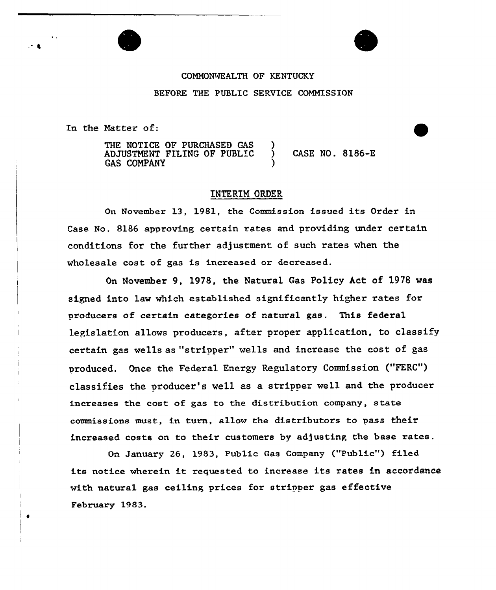## CONNONWEALTH OF KENTUCKY BEFORE THE PUBLIC SERVICE COMMISSION

In the Natter of:

 $\bullet$ 

THE NOTICE OF PURCHASED GAS ADJUSTMENT FILING OF PUBLIC GAS COMPAN7 ) )

) CASE NO. 8186-E

## INTERIM ORDER

On November 13, 1981, the Commission issued its Order in Case No. 8186 approving certain rates and providing under certain conditions for the further adjustment of such rates when the wholesale cost of gas is increased or decreased.

On November 9, 1978, the Natural Gas Policy Act of 1978 was signed into law which established significantly higher rates fox producers of certain categories of natural gas. This federal legislation allows producers, after proper application, to classify certain gas wells as "stripper" wells and increase the cost of gas produced. Once the Federal Energy Regulatoxy Commission ("FERC") classifies the producer's well as a stripper well and the producer increases the cost of gas to the distribution company, state commissions must, in turn, allow the distributors to pass their increased costs on to their customers by adjusting the base xates.

On January 26, 1983, Public Gas Company ("Public") filed its notice wherein it requested to increase its rates in accordance with natural gas ceiling prices for stripper gas effective February 1983.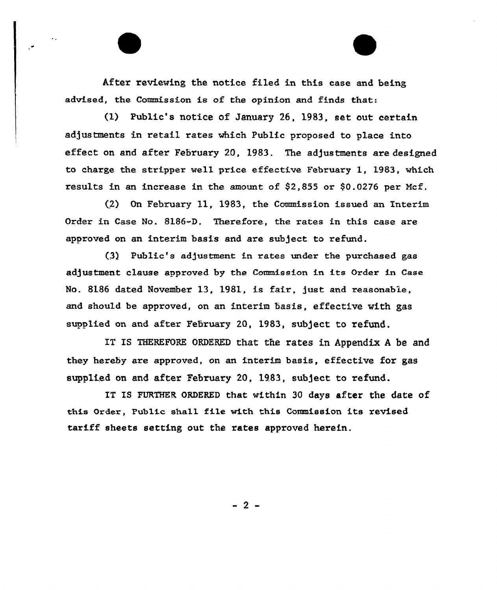After reviewing the notice filed in this case and being advised, the Commission is of the opinion and finds that:

(1) Public's notice of January 26, 1983, set out certain adjustments in retail rates which Public proposed to place into effect on and after February 20, 1983. The adjustments are designed to charge the stripper well price effective February 1, 1983, which results in an increase in the amount of  $$2,855$  or  $$0.0276$  per Mcf.

(2) On February 11, 1983, the Commission issued an Interim Order in Case No. 8186-D. Therefore, the rates in this case are approved on an interim basis and are subject to refund.

(3} Public's adjustment in rates under the purchased gas adjustment clause approved by the Commission in its Order in Case No. 8186 dated November 13, 1981, is fair, just and reasonable, and should be approved, on an interim basis, effective with gas supplied on and after February 20, 1983, subject to refund.

IT IS THEREFORE ORDERED that the rates in Appendix <sup>A</sup> be and they hereby are approved, on an interim basis, effective for gas supplied on and after February 20, 1983, subject to refund.

IT IS FURTHER ORDERED that within 30 days after the date of this Order, Public shall file with this Commission its revised tariff sheets setting out the rates approved herein.

 $-2-$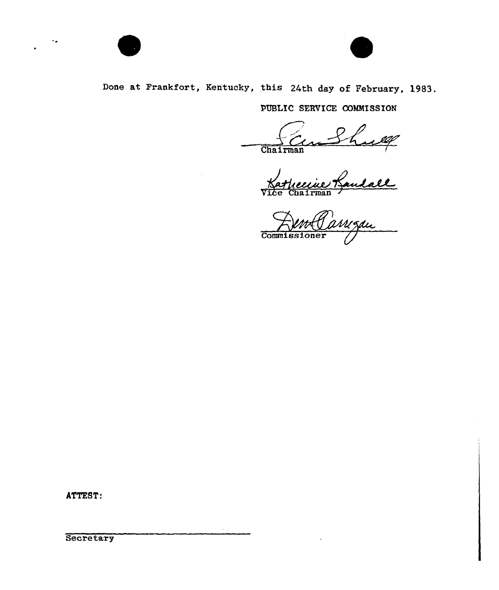

## Done at Frankfort, Kentucky, this 24th day of February, 1983.

PUBLIC SERVICE COMMISSION

ine Landall  $\frac{1}{\text{Chairman}}$ 

Commissioner

ATTEST: